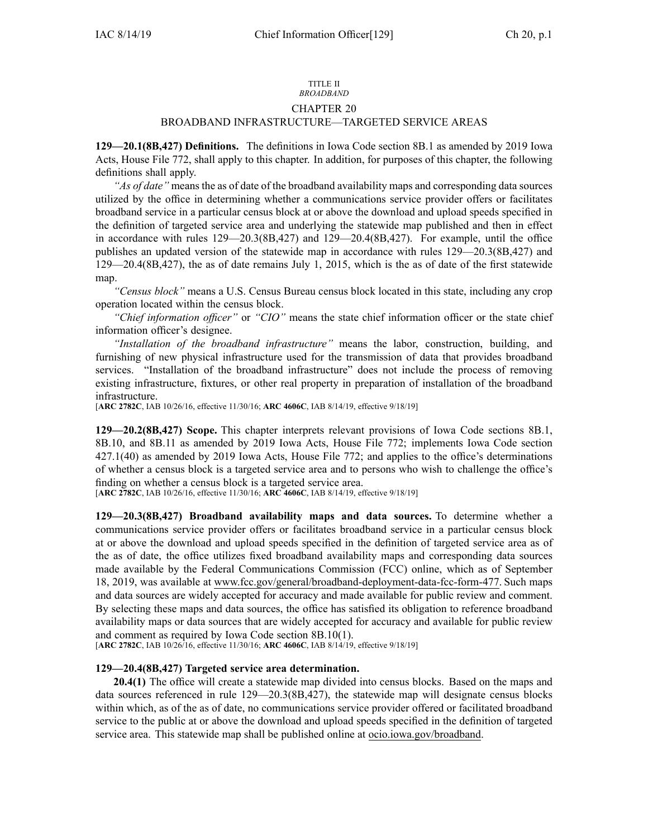#### TITLE II *BROADBAND*

## CHAPTER 20

# BROADBAND INFRASTRUCTURE—TARGETED SERVICE AREAS

**129—20.1(8B,427) Definitions.** The definitions in Iowa Code section [8B.1](https://www.legis.iowa.gov/docs/ico/section/8B.1.pdf) as amended by 2019 Iowa Acts, House File 772, shall apply to this chapter. In addition, for purposes of this chapter, the following definitions shall apply.

*"As of date"* means the as of date of the broadband availability maps and corresponding data sources utilized by the office in determining whether <sup>a</sup> communications service provider offers or facilitates broadband service in <sup>a</sup> particular census block at or above the download and upload speeds specified in the definition of targeted service area and underlying the statewide map published and then in effect in accordance with rules [129—20.3](https://www.legis.iowa.gov/docs/iac/rule/129.20.3.pdf)(8B,427) and [129—20.4](https://www.legis.iowa.gov/docs/iac/rule/129.20.4.pdf)(8B,427). For example, until the office publishes an updated version of the statewide map in accordance with rules [129—20.3](https://www.legis.iowa.gov/docs/iac/rule/129.20.3.pdf)(8B,427) and [129—20.4](https://www.legis.iowa.gov/docs/iac/rule/129.20.4.pdf)(8B,427), the as of date remains July 1, 2015, which is the as of date of the first statewide map.

*"Census block"* means <sup>a</sup> U.S. Census Bureau census block located in this state, including any crop operation located within the census block.

*"Chief information officer"* or *"CIO"* means the state chief information officer or the state chief information officer's designee.

*"Installation of the broadband infrastructure"* means the labor, construction, building, and furnishing of new physical infrastructure used for the transmission of data that provides broadband services. "Installation of the broadband infrastructure" does not include the process of removing existing infrastructure, fixtures, or other real property in preparation of installation of the broadband infrastructure.

[**ARC [2782C](https://www.legis.iowa.gov/docs/aco/arc/2782C.pdf)**, IAB 10/26/16, effective 11/30/16; **ARC [4606C](https://www.legis.iowa.gov/docs/aco/arc/4606C.pdf)**, IAB 8/14/19, effective 9/18/19]

**129—20.2(8B,427) Scope.** This chapter interprets relevant provisions of Iowa Code sections [8B.1](https://www.legis.iowa.gov/docs/ico/section/8B.1.pdf), [8B.10](https://www.legis.iowa.gov/docs/ico/section/8B.10.pdf), and [8B.11](https://www.legis.iowa.gov/docs/ico/section/8B.11.pdf) as amended by 2019 Iowa Acts, House File 772; implements Iowa Code section [427.1\(40\)](https://www.legis.iowa.gov/docs/ico/section/427.1.pdf) as amended by 2019 Iowa Acts, House File 772; and applies to the office's determinations of whether <sup>a</sup> census block is <sup>a</sup> targeted service area and to persons who wish to challenge the office's finding on whether <sup>a</sup> census block is <sup>a</sup> targeted service area.

[**ARC [2782C](https://www.legis.iowa.gov/docs/aco/arc/2782C.pdf)**, IAB 10/26/16, effective 11/30/16; **ARC [4606C](https://www.legis.iowa.gov/docs/aco/arc/4606C.pdf)**, IAB 8/14/19, effective 9/18/19]

**129—20.3(8B,427) Broadband availability maps and data sources.** To determine whether <sup>a</sup> communications service provider offers or facilitates broadband service in <sup>a</sup> particular census block at or above the download and upload speeds specified in the definition of targeted service area as of the as of date, the office utilizes fixed broadband availability maps and corresponding data sources made available by the Federal Communications Commission (FCC) online, which as of September 18, 2019, was available at [www.fcc.gov/general/broadband-deployment-data-fcc-form-477](http://www.fcc.gov/general/broadband-deployment-data-fcc-form-477). Such maps and data sources are widely accepted for accuracy and made available for public review and comment. By selecting these maps and data sources, the office has satisfied its obligation to reference broadband availability maps or data sources that are widely accepted for accuracy and available for public review and comment as required by Iowa Code section [8B.10\(1\)](https://www.legis.iowa.gov/docs/ico/section/8B.10.pdf).

[**ARC [2782C](https://www.legis.iowa.gov/docs/aco/arc/2782C.pdf)**, IAB 10/26/16, effective 11/30/16; **ARC [4606C](https://www.legis.iowa.gov/docs/aco/arc/4606C.pdf)**, IAB 8/14/19, effective 9/18/19]

### **129—20.4(8B,427) Targeted service area determination.**

**20.4(1)** The office will create <sup>a</sup> statewide map divided into census blocks. Based on the maps and data sources referenced in rule [129—20.3](https://www.legis.iowa.gov/docs/iac/rule/129.20.3.pdf)(8B,427), the statewide map will designate census blocks within which, as of the as of date, no communications service provider offered or facilitated broadband service to the public at or above the download and upload speeds specified in the definition of targeted service area. This statewide map shall be published online at [ocio.iowa.gov/broadband](http://ocio.iowa.gov/broadband).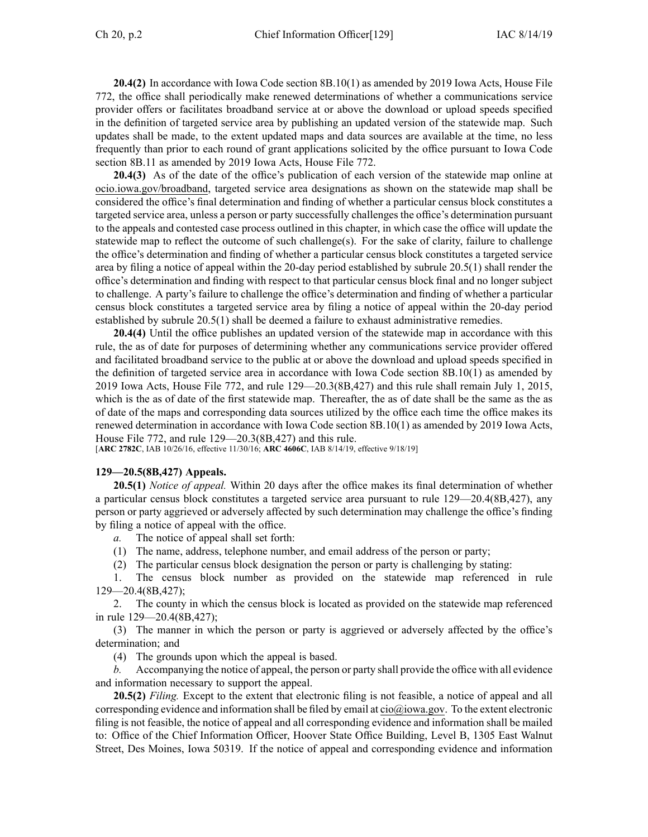**20.4(2)** In accordance with Iowa Code section [8B.10\(1\)](https://www.legis.iowa.gov/docs/ico/section/8B.10.pdf) as amended by 2019 Iowa Acts, House File 772, the office shall periodically make renewed determinations of whether <sup>a</sup> communications service provider offers or facilitates broadband service at or above the download or upload speeds specified in the definition of targeted service area by publishing an updated version of the statewide map. Such updates shall be made, to the extent updated maps and data sources are available at the time, no less frequently than prior to each round of gran<sup>t</sup> applications solicited by the office pursuan<sup>t</sup> to Iowa Code section [8B.11](https://www.legis.iowa.gov/docs/ico/section/8B.11.pdf) as amended by 2019 Iowa Acts, House File 772.

**20.4(3)** As of the date of the office's publication of each version of the statewide map online at [ocio.iowa.gov/broadband](http://ocio.iowa.gov/broadband), targeted service area designations as shown on the statewide map shall be considered the office's final determination and finding of whether <sup>a</sup> particular census block constitutes <sup>a</sup> targeted service area, unless <sup>a</sup> person or party successfully challenges the office's determination pursuan<sup>t</sup> to the appeals and contested case process outlined in this chapter, in which case the office will update the statewide map to reflect the outcome of such challenge(s). For the sake of clarity, failure to challenge the office's determination and finding of whether <sup>a</sup> particular census block constitutes <sup>a</sup> targeted service area by filing <sup>a</sup> notice of appeal within the 20-day period established by subrule [20.5\(1\)](https://www.legis.iowa.gov/docs/iac/rule/129.20.5.pdf) shall render the office's determination and finding with respec<sup>t</sup> to that particular census block final and no longer subject to challenge. A party's failure to challenge the office's determination and finding of whether <sup>a</sup> particular census block constitutes <sup>a</sup> targeted service area by filing <sup>a</sup> notice of appeal within the 20-day period established by subrule [20.5\(1\)](https://www.legis.iowa.gov/docs/iac/rule/129.20.5.pdf) shall be deemed <sup>a</sup> failure to exhaust administrative remedies.

**20.4(4)** Until the office publishes an updated version of the statewide map in accordance with this rule, the as of date for purposes of determining whether any communications service provider offered and facilitated broadband service to the public at or above the download and upload speeds specified in the definition of targeted service area in accordance with Iowa Code section [8B.10\(1\)](https://www.legis.iowa.gov/docs/ico/section/8B.10.pdf) as amended by 2019 Iowa Acts, House File 772, and rule [129](https://www.legis.iowa.gov/docs/iac/chapter/129.129.pdf)—20.3(8B,427) and this rule shall remain July 1, 2015, which is the as of date of the first statewide map. Thereafter, the as of date shall be the same as the as of date of the maps and corresponding data sources utilized by the office each time the office makes its renewed determination in accordance with Iowa Code section [8B.10\(1\)](https://www.legis.iowa.gov/docs/ico/section/8B.10.pdf) as amended by 2019 Iowa Acts, House File 772, and rule 129—[20.3](https://www.legis.iowa.gov/docs/iac/rule/129.20.3.pdf)(8B,427) and this rule.

[**ARC [2782C](https://www.legis.iowa.gov/docs/aco/arc/2782C.pdf)**, IAB 10/26/16, effective 11/30/16; **ARC [4606C](https://www.legis.iowa.gov/docs/aco/arc/4606C.pdf)**, IAB 8/14/19, effective 9/18/19]

#### **129—20.5(8B,427) Appeals.**

**20.5(1)** *Notice of appeal.* Within 20 days after the office makes its final determination of whether <sup>a</sup> particular census block constitutes <sup>a</sup> targeted service area pursuan<sup>t</sup> to rule [129—20.4](https://www.legis.iowa.gov/docs/iac/rule/129.20.4.pdf)(8B,427), any person or party aggrieved or adversely affected by such determination may challenge the office's finding by filing <sup>a</sup> notice of appeal with the office.

*a.* The notice of appeal shall set forth:

- (1) The name, address, telephone number, and email address of the person or party;
- (2) The particular census block designation the person or party is challenging by stating:

1. The census block number as provided on the statewide map referenced in rule 129—20.4(8B,427);

2. The county in which the census block is located as provided on the statewide map referenced in rule 129—20.4(8B,427);

(3) The manner in which the person or party is aggrieved or adversely affected by the office's determination; and

(4) The grounds upon which the appeal is based.

*b.* Accompanying the notice of appeal, the person or party shall provide the office with all evidence and information necessary to suppor<sup>t</sup> the appeal.

**20.5(2)** *Filing.* Except to the extent that electronic filing is not feasible, <sup>a</sup> notice of appeal and all corresponding evidence and information shall be filed by email at [cio@iowa.gov](mailto:cio@iowa.gov). To the extent electronic filing is not feasible, the notice of appeal and all corresponding evidence and information shall be mailed to: Office of the Chief Information Officer, Hoover State Office Building, Level B, 1305 East Walnut Street, Des Moines, Iowa 50319. If the notice of appeal and corresponding evidence and information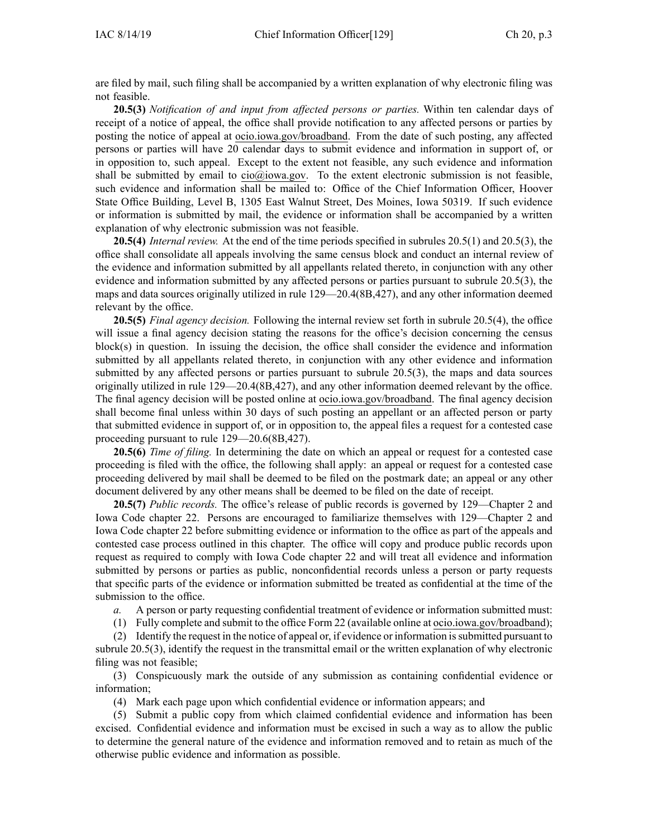are filed by mail, such filing shall be accompanied by <sup>a</sup> written explanation of why electronic filing was not feasible.

**20.5(3)** *Notification of and input from affected persons or parties.* Within ten calendar days of receipt of <sup>a</sup> notice of appeal, the office shall provide notification to any affected persons or parties by posting the notice of appeal at [ocio.iowa.gov/broadband](http://ocio.iowa.gov/broadband). From the date of such posting, any affected persons or parties will have 20 calendar days to submit evidence and information in suppor<sup>t</sup> of, or in opposition to, such appeal. Except to the extent not feasible, any such evidence and information shall be submitted by email to  $\dot{\text{cio}}(a)$  iowa.gov. To the extent electronic submission is not feasible, such evidence and information shall be mailed to: Office of the Chief Information Officer, Hoover State Office Building, Level B, 1305 East Walnut Street, Des Moines, Iowa 50319. If such evidence or information is submitted by mail, the evidence or information shall be accompanied by <sup>a</sup> written explanation of why electronic submission was not feasible.

**20.5(4)** *Internal review.* At the end of the time periods specified in subrules [20.5\(1\)](https://www.legis.iowa.gov/docs/iac/rule/129.20.5.pdf) and [20.5\(3\)](https://www.legis.iowa.gov/docs/iac/rule/129.20.5.pdf), the office shall consolidate all appeals involving the same census block and conduct an internal review of the evidence and information submitted by all appellants related thereto, in conjunction with any other evidence and information submitted by any affected persons or parties pursuan<sup>t</sup> to subrule [20.5\(3\)](https://www.legis.iowa.gov/docs/iac/rule/129.20.5.pdf), the maps and data sources originally utilized in rule [129—20.4](https://www.legis.iowa.gov/docs/iac/rule/129.20.4.pdf)(8B,427), and any other information deemed relevant by the office.

**20.5(5)** *Final agency decision.* Following the internal review set forth in subrule [20.5\(4\)](https://www.legis.iowa.gov/docs/iac/rule/129.20.5.pdf), the office will issue a final agency decision stating the reasons for the office's decision concerning the census block(s) in question. In issuing the decision, the office shall consider the evidence and information submitted by all appellants related thereto, in conjunction with any other evidence and information submitted by any affected persons or parties pursuan<sup>t</sup> to subrule [20.5\(3\)](https://www.legis.iowa.gov/docs/iac/rule/129.20.5.pdf), the maps and data sources originally utilized in rule [129—20.4](https://www.legis.iowa.gov/docs/iac/rule/129.20.4.pdf)(8B,427), and any other information deemed relevant by the office. The final agency decision will be posted online at [ocio.iowa.gov/broadband](http://ocio.iowa.gov/broadband). The final agency decision shall become final unless within 30 days of such posting an appellant or an affected person or party that submitted evidence in suppor<sup>t</sup> of, or in opposition to, the appeal files <sup>a</sup> reques<sup>t</sup> for <sup>a</sup> contested case proceeding pursuan<sup>t</sup> to rule [129—20.6](https://www.legis.iowa.gov/docs/iac/rule/129.20.6.pdf)(8B,427).

**20.5(6)** *Time of filing.* In determining the date on which an appeal or reques<sup>t</sup> for <sup>a</sup> contested case proceeding is filed with the office, the following shall apply: an appeal or reques<sup>t</sup> for <sup>a</sup> contested case proceeding delivered by mail shall be deemed to be filed on the postmark date; an appeal or any other document delivered by any other means shall be deemed to be filed on the date of receipt.

**20.5(7)** *Public records.* The office's release of public records is governed by [129—Chapter](https://www.legis.iowa.gov/docs/iac/chapter/129.2.pdf) 2 and Iowa Code chapter [22](https://www.legis.iowa.gov/docs/ico/chapter/22.pdf). Persons are encouraged to familiarize themselves with [129—Chapter](https://www.legis.iowa.gov/docs/iac/chapter/129.2.pdf) 2 and Iowa Code chapter [22](https://www.legis.iowa.gov/docs/ico/chapter/22.pdf) before submitting evidence or information to the office as par<sup>t</sup> of the appeals and contested case process outlined in this chapter. The office will copy and produce public records upon reques<sup>t</sup> as required to comply with Iowa Code chapter [22](https://www.legis.iowa.gov/docs/ico/chapter/22.pdf) and will treat all evidence and information submitted by persons or parties as public, nonconfidential records unless <sup>a</sup> person or party requests that specific parts of the evidence or information submitted be treated as confidential at the time of the submission to the office.

*a.* A person or party requesting confidential treatment of evidence or information submitted must:

(1) Fully complete and submit to the office Form 22 (available online at [ocio.iowa.gov/broadband](http://ocio.iowa.gov/broadband));

(2) Identify the reques<sup>t</sup> in the notice of appeal or, if evidence or information issubmitted pursuan<sup>t</sup> to subrule [20.5\(3\)](https://www.legis.iowa.gov/docs/iac/rule/129.20.5.pdf), identify the reques<sup>t</sup> in the transmittal email or the written explanation of why electronic filing was not feasible;

(3) Conspicuously mark the outside of any submission as containing confidential evidence or information;

(4) Mark each page upon which confidential evidence or information appears; and

(5) Submit <sup>a</sup> public copy from which claimed confidential evidence and information has been excised. Confidential evidence and information must be excised in such <sup>a</sup> way as to allow the public to determine the general nature of the evidence and information removed and to retain as much of the otherwise public evidence and information as possible.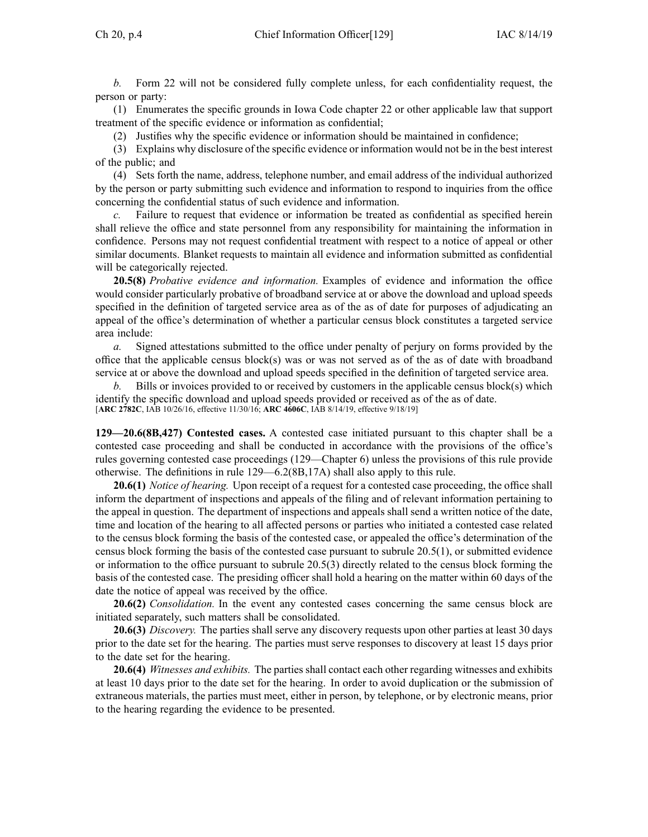*b.* Form 22 will not be considered fully complete unless, for each confidentiality request, the person or party:

(1) Enumerates the specific grounds in Iowa Code chapter [22](https://www.legis.iowa.gov/docs/ico/chapter/22.pdf) or other applicable law that suppor<sup>t</sup> treatment of the specific evidence or information as confidential;

(2) Justifies why the specific evidence or information should be maintained in confidence;

(3) Explains why disclosure of the specific evidence or information would not be in the best interest of the public; and

(4) Sets forth the name, address, telephone number, and email address of the individual authorized by the person or party submitting such evidence and information to respond to inquiries from the office concerning the confidential status of such evidence and information.

*c.* Failure to reques<sup>t</sup> that evidence or information be treated as confidential as specified herein shall relieve the office and state personnel from any responsibility for maintaining the information in confidence. Persons may not reques<sup>t</sup> confidential treatment with respec<sup>t</sup> to <sup>a</sup> notice of appeal or other similar documents. Blanket requests to maintain all evidence and information submitted as confidential will be categorically rejected.

**20.5(8)** *Probative evidence and information.* Examples of evidence and information the office would consider particularly probative of broadband service at or above the download and upload speeds specified in the definition of targeted service area as of the as of date for purposes of adjudicating an appeal of the office's determination of whether <sup>a</sup> particular census block constitutes <sup>a</sup> targeted service area include:

*a.* Signed attestations submitted to the office under penalty of perjury on forms provided by the office that the applicable census block(s) was or was not served as of the as of date with broadband service at or above the download and upload speeds specified in the definition of targeted service area.

*b.* Bills or invoices provided to or received by customers in the applicable census block(s) which identify the specific download and upload speeds provided or received as of the as of date. [**ARC [2782C](https://www.legis.iowa.gov/docs/aco/arc/2782C.pdf)**, IAB 10/26/16, effective 11/30/16; **ARC [4606C](https://www.legis.iowa.gov/docs/aco/arc/4606C.pdf)**, IAB 8/14/19, effective 9/18/19]

**129—20.6(8B,427) Contested cases.** A contested case initiated pursuan<sup>t</sup> to this chapter shall be <sup>a</sup> contested case proceeding and shall be conducted in accordance with the provisions of the office's rules governing contested case proceedings (129—Chapter 6) unless the provisions of this rule provide otherwise. The definitions in rule [129—6.2\(](https://www.legis.iowa.gov/docs/iac/rule/129.6.2.pdf)8B,17A) shall also apply to this rule.

**20.6(1)** *Notice of hearing.* Upon receipt of <sup>a</sup> reques<sup>t</sup> for <sup>a</sup> contested case proceeding, the office shall inform the department of inspections and appeals of the filing and of relevant information pertaining to the appeal in question. The department of inspections and appeals shall send <sup>a</sup> written notice of the date, time and location of the hearing to all affected persons or parties who initiated <sup>a</sup> contested case related to the census block forming the basis of the contested case, or appealed the office's determination of the census block forming the basis of the contested case pursuan<sup>t</sup> to subrule [20.5\(1\)](https://www.legis.iowa.gov/docs/iac/rule/129.20.5.pdf), or submitted evidence or information to the office pursuan<sup>t</sup> to subrule [20.5\(3\)](https://www.legis.iowa.gov/docs/iac/rule/129.20.5.pdf) directly related to the census block forming the basis of the contested case. The presiding officer shall hold <sup>a</sup> hearing on the matter within 60 days of the date the notice of appeal was received by the office.

**20.6(2)** *Consolidation.* In the event any contested cases concerning the same census block are initiated separately, such matters shall be consolidated.

**20.6(3)** *Discovery.* The parties shall serve any discovery requests upon other parties at least 30 days prior to the date set for the hearing. The parties must serve responses to discovery at least 15 days prior to the date set for the hearing.

**20.6(4)** *Witnesses and exhibits.* The parties shall contact each other regarding witnesses and exhibits at least 10 days prior to the date set for the hearing. In order to avoid duplication or the submission of extraneous materials, the parties must meet, either in person, by telephone, or by electronic means, prior to the hearing regarding the evidence to be presented.